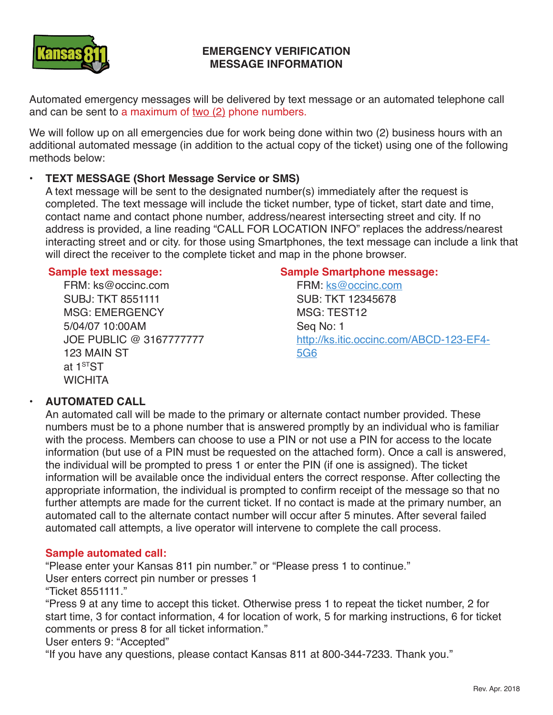

# **EMERGENCY VERIFICATION MESSAGE INFORMATION**

Automated emergency messages will be delivered by text message or an automated telephone call and can be sent to a maximum of two (2) phone numbers.

We will follow up on all emergencies due for work being done within two (2) business hours with an additional automated message (in addition to the actual copy of the ticket) using one of the following methods below:

# **• TEXT MESSAGE (Short Message Service or SMS)**

A text message will be sent to the designated number(s) immediately after the request is completed. The text message will include the ticket number, type of ticket, start date and time, contact name and contact phone number, address/nearest intersecting street and city. If no address is provided, a line reading "CALL FOR LOCATION INFO" replaces the address/nearest interacting street and or city. for those using Smartphones, the text message can include a link that will direct the receiver to the complete ticket and map in the phone browser.

#### **Sample text message:**

FRM: ks@occinc.com SUBJ: TKT 8551111 MSG: EMERGENCY 5/04/07 10:00AM JOE PUBLIC @ 3167777777 123 MAIN ST at 1<sup>ST</sup>ST **WICHITA** 

#### **Sample Smartphone message:**

FRM: ks@occinc.com SUB: TKT 12345678 MSG: TEST12 Seq No: 1 http://ks.itic.occinc.com/ABCD-123-EF4- 5G6

## **• AUTOMATED CALL**

An automated call will be made to the primary or alternate contact number provided. These numbers must be to a phone number that is answered promptly by an individual who is familiar with the process. Members can choose to use a PIN or not use a PIN for access to the locate information (but use of a PIN must be requested on the attached form). Once a call is answered, the individual will be prompted to press 1 or enter the PIN (if one is assigned). The ticket information will be available once the individual enters the correct response. After collecting the appropriate information, the individual is prompted to confirm receipt of the message so that no further attempts are made for the current ticket. If no contact is made at the primary number, an automated call to the alternate contact number will occur after 5 minutes. After several failed automated call attempts, a live operator will intervene to complete the call process.

## **Sample automated call:**

"Please enter your Kansas 811 pin number." or "Please press 1 to continue."

User enters correct pin number or presses 1

"Ticket 8551111."

"Press 9 at any time to accept this ticket. Otherwise press 1 to repeat the ticket number, 2 for start time, 3 for contact information, 4 for location of work, 5 for marking instructions, 6 for ticket comments or press 8 for all ticket information."

User enters 9: "Accepted"

"If you have any questions, please contact Kansas 811 at 800-344-7233. Thank you."